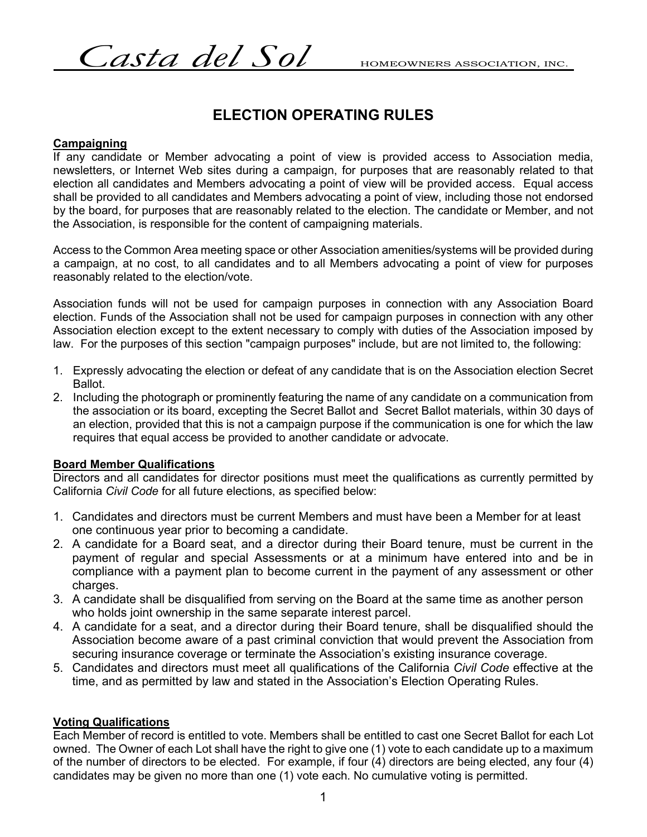$\emph{Casta del Sol}$  HOMEOWNERS ASSOCIATION, INC.

# **ELECTION OPERATING RULES**

## **Campaigning**

If any candidate or Member advocating a point of view is provided access to Association media, newsletters, or Internet Web sites during a campaign, for purposes that are reasonably related to that election all candidates and Members advocating a point of view will be provided access. Equal access shall be provided to all candidates and Members advocating a point of view, including those not endorsed by the board, for purposes that are reasonably related to the election. The candidate or Member, and not the Association, is responsible for the content of campaigning materials.

Access to the Common Area meeting space or other Association amenities/systems will be provided during a campaign, at no cost, to all candidates and to all Members advocating a point of view for purposes reasonably related to the election/vote.

Association funds will not be used for campaign purposes in connection with any Association Board election. Funds of the Association shall not be used for campaign purposes in connection with any other Association election except to the extent necessary to comply with duties of the Association imposed by law. For the purposes of this section "campaign purposes" include, but are not limited to, the following:

- 1. Expressly advocating the election or defeat of any candidate that is on the Association election Secret Ballot.
- 2. Including the photograph or prominently featuring the name of any candidate on a communication from the association or its board, excepting the Secret Ballot and Secret Ballot materials, within 30 days of an election, provided that this is not a campaign purpose if the communication is one for which the law requires that equal access be provided to another candidate or advocate.

## **Board Member Qualifications**

Directors and all candidates for director positions must meet the qualifications as currently permitted by California *Civil Code* for all future elections, as specified below:

- 1. Candidates and directors must be current Members and must have been a Member for at least one continuous year prior to becoming a candidate.
- 2. A candidate for a Board seat, and a director during their Board tenure, must be current in the payment of regular and special Assessments or at a minimum have entered into and be in compliance with a payment plan to become current in the payment of any assessment or other charges.
- 3. A candidate shall be disqualified from serving on the Board at the same time as another person who holds joint ownership in the same separate interest parcel.
- 4. A candidate for a seat, and a director during their Board tenure, shall be disqualified should the Association become aware of a past criminal conviction that would prevent the Association from securing insurance coverage or terminate the Association's existing insurance coverage.
- 5. Candidates and directors must meet all qualifications of the California *Civil Code* effective at the time, and as permitted by law and stated in the Association's Election Operating Rules.

## **Voting Qualifications**

Each Member of record is entitled to vote. Members shall be entitled to cast one Secret Ballot for each Lot owned. The Owner of each Lot shall have the right to give one (1) vote to each candidate up to a maximum of the number of directors to be elected. For example, if four (4) directors are being elected, any four (4) candidates may be given no more than one (1) vote each. No cumulative voting is permitted.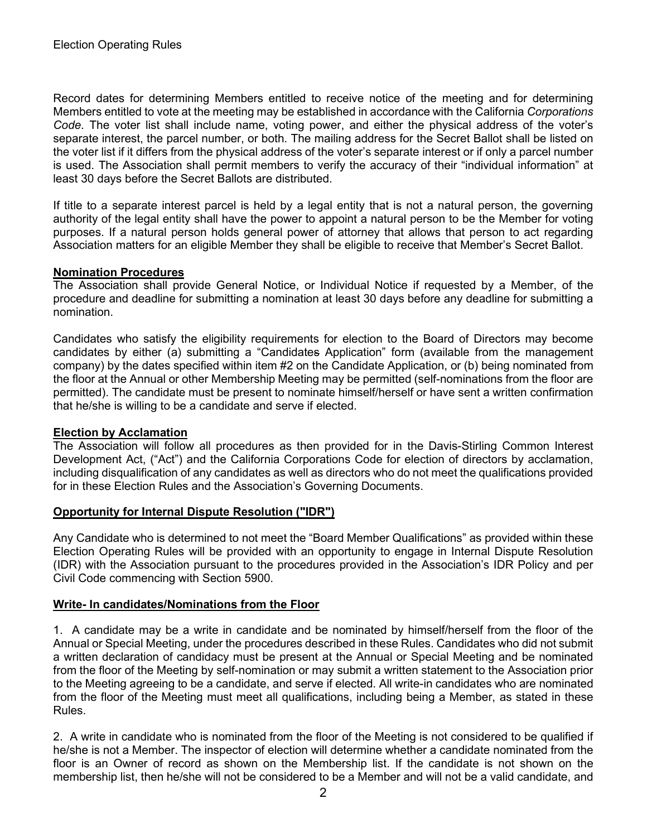Record dates for determining Members entitled to receive notice of the meeting and for determining Members entitled to vote at the meeting may be established in accordance with the California *Corporations Code*. The voter list shall include name, voting power, and either the physical address of the voter's separate interest, the parcel number, or both. The mailing address for the Secret Ballot shall be listed on the voter list if it differs from the physical address of the voter's separate interest or if only a parcel number is used. The Association shall permit members to verify the accuracy of their "individual information" at least 30 days before the Secret Ballots are distributed.

If title to a separate interest parcel is held by a legal entity that is not a natural person, the governing authority of the legal entity shall have the power to appoint a natural person to be the Member for voting purposes. If a natural person holds general power of attorney that allows that person to act regarding Association matters for an eligible Member they shall be eligible to receive that Member's Secret Ballot.

## **Nomination Procedures**

The Association shall provide General Notice, or Individual Notice if requested by a Member, of the procedure and deadline for submitting a nomination at least 30 days before any deadline for submitting a nomination.

Candidates who satisfy the eligibility requirements for election to the Board of Directors may become candidates by either (a) submitting a "Candidates Application" form (available from the management company) by the dates specified within item #2 on the Candidate Application, or (b) being nominated from the floor at the Annual or other Membership Meeting may be permitted (self-nominations from the floor are permitted). The candidate must be present to nominate himself/herself or have sent a written confirmation that he/she is willing to be a candidate and serve if elected.

## **Election by Acclamation**

The Association will follow all procedures as then provided for in the Davis-Stirling Common Interest Development Act, ("Act") and the California Corporations Code for election of directors by acclamation, including disqualification of any candidates as well as directors who do not meet the qualifications provided for in these Election Rules and the Association's Governing Documents.

# **Opportunity for Internal Dispute Resolution ("IDR")**

Any Candidate who is determined to not meet the "Board Member Qualifications" as provided within these Election Operating Rules will be provided with an opportunity to engage in Internal Dispute Resolution (IDR) with the Association pursuant to the procedures provided in the Association's IDR Policy and per Civil Code commencing with Section 5900.

# **Write- In candidates/Nominations from the Floor**

1. A candidate may be a write in candidate and be nominated by himself/herself from the floor of the Annual or Special Meeting, under the procedures described in these Rules. Candidates who did not submit a written declaration of candidacy must be present at the Annual or Special Meeting and be nominated from the floor of the Meeting by self-nomination or may submit a written statement to the Association prior to the Meeting agreeing to be a candidate, and serve if elected. All write-in candidates who are nominated from the floor of the Meeting must meet all qualifications, including being a Member, as stated in these Rules.

2. A write in candidate who is nominated from the floor of the Meeting is not considered to be qualified if he/she is not a Member. The inspector of election will determine whether a candidate nominated from the floor is an Owner of record as shown on the Membership list. If the candidate is not shown on the membership list, then he/she will not be considered to be a Member and will not be a valid candidate, and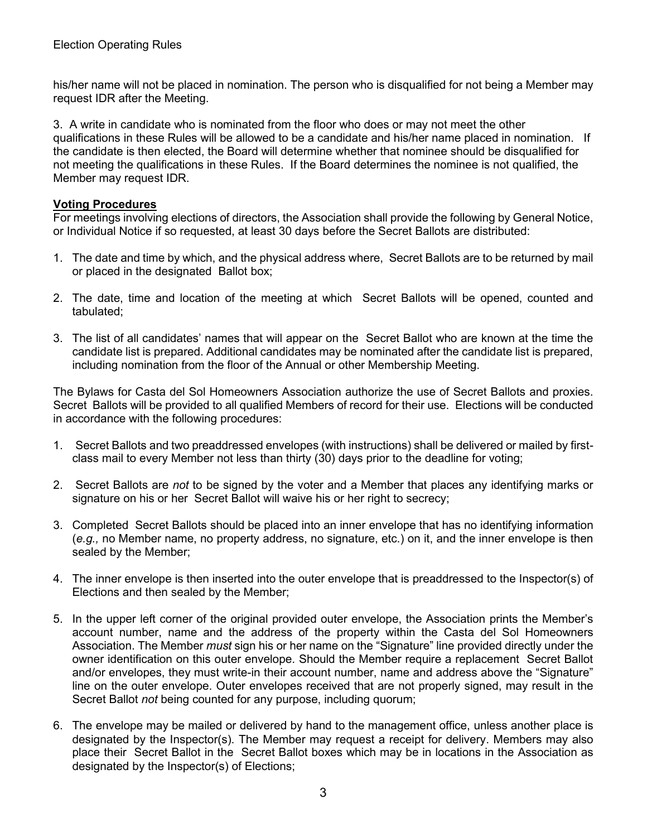his/her name will not be placed in nomination. The person who is disqualified for not being a Member may request IDR after the Meeting.

3. A write in candidate who is nominated from the floor who does or may not meet the other qualifications in these Rules will be allowed to be a candidate and his/her name placed in nomination. If the candidate is then elected, the Board will determine whether that nominee should be disqualified for not meeting the qualifications in these Rules. If the Board determines the nominee is not qualified, the Member may request IDR.

## **Voting Procedures**

For meetings involving elections of directors, the Association shall provide the following by General Notice, or Individual Notice if so requested, at least 30 days before the Secret Ballots are distributed:

- 1. The date and time by which, and the physical address where, Secret Ballots are to be returned by mail or placed in the designated Ballot box;
- 2. The date, time and location of the meeting at which Secret Ballots will be opened, counted and tabulated;
- 3. The list of all candidates' names that will appear on the Secret Ballot who are known at the time the candidate list is prepared. Additional candidates may be nominated after the candidate list is prepared, including nomination from the floor of the Annual or other Membership Meeting.

The Bylaws for Casta del Sol Homeowners Association authorize the use of Secret Ballots and proxies. Secret Ballots will be provided to all qualified Members of record for their use. Elections will be conducted in accordance with the following procedures:

- 1. Secret Ballots and two preaddressed envelopes (with instructions) shall be delivered or mailed by firstclass mail to every Member not less than thirty (30) days prior to the deadline for voting;
- 2. Secret Ballots are *not* to be signed by the voter and a Member that places any identifying marks or signature on his or her Secret Ballot will waive his or her right to secrecy;
- 3. Completed Secret Ballots should be placed into an inner envelope that has no identifying information (*e.g.,* no Member name, no property address, no signature, etc.) on it, and the inner envelope is then sealed by the Member;
- 4. The inner envelope is then inserted into the outer envelope that is preaddressed to the Inspector(s) of Elections and then sealed by the Member;
- 5. In the upper left corner of the original provided outer envelope, the Association prints the Member's account number, name and the address of the property within the Casta del Sol Homeowners Association. The Member *must* sign his or her name on the "Signature" line provided directly under the owner identification on this outer envelope. Should the Member require a replacement Secret Ballot and/or envelopes, they must write-in their account number, name and address above the "Signature" line on the outer envelope. Outer envelopes received that are not properly signed, may result in the Secret Ballot *not* being counted for any purpose, including quorum;
- 6. The envelope may be mailed or delivered by hand to the management office, unless another place is designated by the Inspector(s). The Member may request a receipt for delivery. Members may also place their Secret Ballot in the Secret Ballot boxes which may be in locations in the Association as designated by the Inspector(s) of Elections;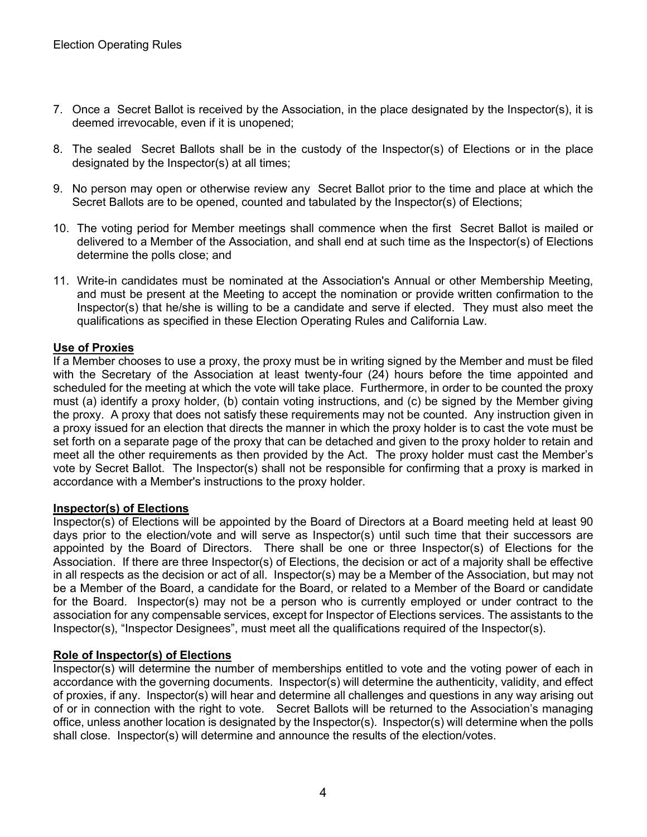- 7. Once a Secret Ballot is received by the Association, in the place designated by the Inspector(s), it is deemed irrevocable, even if it is unopened;
- 8. The sealed Secret Ballots shall be in the custody of the Inspector(s) of Elections or in the place designated by the Inspector(s) at all times;
- 9. No person may open or otherwise review any Secret Ballot prior to the time and place at which the Secret Ballots are to be opened, counted and tabulated by the Inspector(s) of Elections;
- 10. The voting period for Member meetings shall commence when the first Secret Ballot is mailed or delivered to a Member of the Association, and shall end at such time as the Inspector(s) of Elections determine the polls close; and
- 11. Write-in candidates must be nominated at the Association's Annual or other Membership Meeting, and must be present at the Meeting to accept the nomination or provide written confirmation to the Inspector(s) that he/she is willing to be a candidate and serve if elected. They must also meet the qualifications as specified in these Election Operating Rules and California Law.

## **Use of Proxies**

If a Member chooses to use a proxy, the proxy must be in writing signed by the Member and must be filed with the Secretary of the Association at least twenty-four (24) hours before the time appointed and scheduled for the meeting at which the vote will take place. Furthermore, in order to be counted the proxy must (a) identify a proxy holder, (b) contain voting instructions, and (c) be signed by the Member giving the proxy. A proxy that does not satisfy these requirements may not be counted. Any instruction given in a proxy issued for an election that directs the manner in which the proxy holder is to cast the vote must be set forth on a separate page of the proxy that can be detached and given to the proxy holder to retain and meet all the other requirements as then provided by the Act. The proxy holder must cast the Member's vote by Secret Ballot. The Inspector(s) shall not be responsible for confirming that a proxy is marked in accordance with a Member's instructions to the proxy holder.

## **Inspector(s) of Elections**

Inspector(s) of Elections will be appointed by the Board of Directors at a Board meeting held at least 90 days prior to the election/vote and will serve as Inspector(s) until such time that their successors are appointed by the Board of Directors. There shall be one or three Inspector(s) of Elections for the Association. If there are three Inspector(s) of Elections, the decision or act of a majority shall be effective in all respects as the decision or act of all. Inspector(s) may be a Member of the Association, but may not be a Member of the Board, a candidate for the Board, or related to a Member of the Board or candidate for the Board. Inspector(s) may not be a person who is currently employed or under contract to the association for any compensable services, except for Inspector of Elections services. The assistants to the Inspector(s), "Inspector Designees", must meet all the qualifications required of the Inspector(s).

## **Role of Inspector(s) of Elections**

Inspector(s) will determine the number of memberships entitled to vote and the voting power of each in accordance with the governing documents. Inspector(s) will determine the authenticity, validity, and effect of proxies, if any. Inspector(s) will hear and determine all challenges and questions in any way arising out of or in connection with the right to vote. Secret Ballots will be returned to the Association's managing office, unless another location is designated by the Inspector(s). Inspector(s) will determine when the polls shall close. Inspector(s) will determine and announce the results of the election/votes.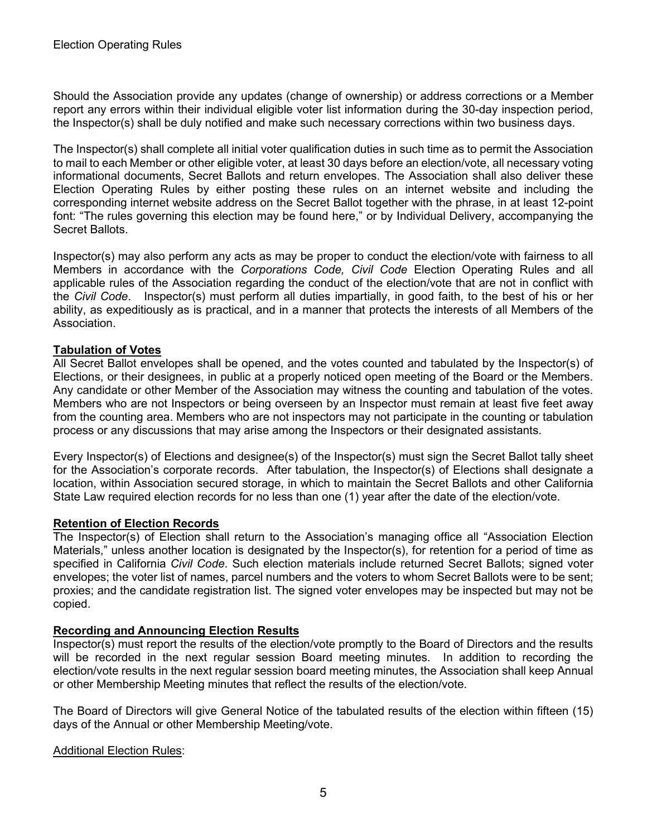Should the Association provide any updates (change of ownership) or address corrections or a Member report any errors within their individual eligible voter list information during the 30-day inspection period, the Inspector(s) shall be duly notified and make such necessary corrections within two business days.

The Inspector(s) shall complete all initial voter qualification duties in such time as to permit the Association to mail to each Member or other eligible voter, at least 30 days before an election/vote, all necessary voting informational documents, Secret Ballots and return envelopes. The Association shall also deliver these Election Operating Rules by either posting these rules on an internet website and including the corresponding internet website address on the Secret Ballot together with the phrase, in at least 12-point font: "The rules governing this election may be found here," or by Individual Delivery, accompanying the Secret Ballots.

Inspector(s) may also perform any acts as may be proper to conduct the election/vote with fairness to all Members in accordance with the *Corporations Code, Civil Code* Election Operating Rules and all applicable rules of the Association regarding the conduct of the election/vote that are not in conflict with the *Civil Code*. Inspector(s) must perform all duties impartially, in good faith, to the best of his or her ability, as expeditiously as is practical, and in a manner that protects the interests of all Members of the Association.

## **Tabulation of Votes**

All Secret Ballot envelopes shall be opened, and the votes counted and tabulated by the Inspector(s) of Elections, or their designees, in public at a properly noticed open meeting of the Board or the Members. Any candidate or other Member of the Association may witness the counting and tabulation of the votes. Members who are not Inspectors or being overseen by an Inspector must remain at least five feet away from the counting area. Members who are not inspectors may not participate in the counting or tabulation process or any discussions that may arise among the Inspectors or their designated assistants.

Every Inspector(s) of Elections and designee(s) of the Inspector(s) must sign the Secret Ballot tally sheet for the Association's corporate records. After tabulation, the Inspector(s) of Elections shall designate a location, within Association secured storage, in which to maintain the Secret Ballots and other California State Law required election records for no less than one (1) year after the date of the election/vote.

## **Retention of Election Records**

The Inspector(s) of Election shall return to the Association's managing office all "Association Election Materials," unless another location is designated by the Inspector(s), for retention for a period of time as specified in California *Civil Code*. Such election materials include returned Secret Ballots; signed voter envelopes; the voter list of names, parcel numbers and the voters to whom Secret Ballots were to be sent; proxies; and the candidate registration list. The signed voter envelopes may be inspected but may not be copied.

# **Recording and Announcing Election Results**

Inspector(s) must report the results of the election/vote promptly to the Board of Directors and the results will be recorded in the next regular session Board meeting minutes. In addition to recording the election/vote results in the next regular session board meeting minutes, the Association shall keep Annual or other Membership Meeting minutes that reflect the results of the election/vote.

The Board of Directors will give General Notice of the tabulated results of the election within fifteen (15) days of the Annual or other Membership Meeting/vote.

## Additional Election Rules: